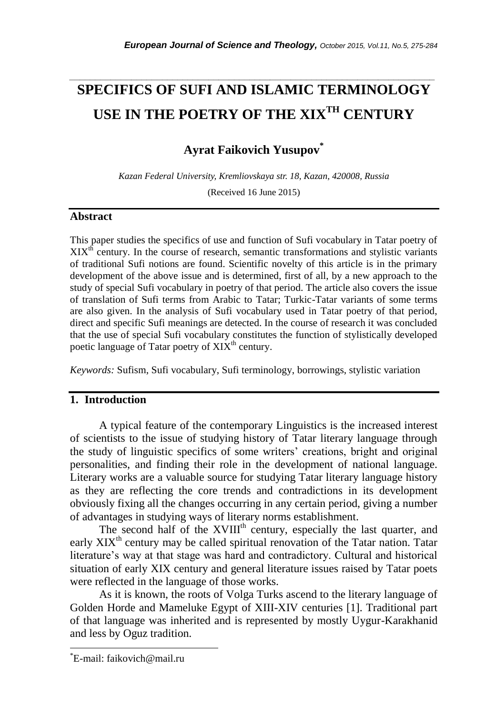# **SPECIFICS OF SUFI AND ISLAMIC TERMINOLOGY USE IN THE POETRY OF THE XIXTH CENTURY**

*\_\_\_\_\_\_\_\_\_\_\_\_\_\_\_\_\_\_\_\_\_\_\_\_\_\_\_\_\_\_\_\_\_\_\_\_\_\_\_\_\_\_\_\_\_\_\_\_\_\_\_\_\_\_\_\_\_\_\_\_\_\_\_\_\_\_\_\_\_\_\_*

**Ayrat Faikovich Yusupov\***

*Kazan Federal University, Kremliovskaya str. 18, Kazan, 420008, Russia*

(Received 16 June 2015)

#### **Abstract**

This paper studies the specifics of use and function of Sufi vocabulary in Tatar poetry of  $XIX<sup>th</sup>$  century. In the course of research, semantic transformations and stylistic variants of traditional Sufi notions are found. Scientific novelty of this article is in the primary development of the above issue and is determined, first of all, by a new approach to the study of special Sufi vocabulary in poetry of that period. The article also covers the issue of translation of Sufi terms from Arabic to Tatar; Turkic-Tatar variants of some terms are also given. In the analysis of Sufi vocabulary used in Tatar poetry of that period, direct and specific Sufi meanings are detected. In the course of research it was concluded that the use of special Sufi vocabulary constitutes the function of stylistically developed poetic language of Tatar poetry of XIX<sup>th</sup> century.

*Keywords:* Sufism, Sufi vocabulary, Sufi terminology, borrowings, stylistic variation

# **1. Introduction**

A typical feature of the contemporary Linguistics is the increased interest of scientists to the issue of studying history of Tatar literary language through the study of linguistic specifics of some writers' creations, bright and original personalities, and finding their role in the development of national language. Literary works are a valuable source for studying Tatar literary language history as they are reflecting the core trends and contradictions in its development obviously fixing all the changes occurring in any certain period, giving a number of advantages in studying ways of literary norms establishment.

The second half of the XVIII<sup>th</sup> century, especially the last quarter, and early  $XIX<sup>th</sup>$  century may be called spiritual renovation of the Tatar nation. Tatar literature's way at that stage was hard and contradictory. Cultural and historical situation of early XIX century and general literature issues raised by Tatar poets were reflected in the language of those works.

As it is known, the roots of Volga Turks ascend to the literary language of Golden Horde and Mameluke Egypt of XIII-XIV centuries [1]. Traditional part of that language was inherited and is represented by mostly Uygur-Karakhanid and less by Oguz tradition.

l

<sup>\*</sup>E-mail: faikovich@mail.ru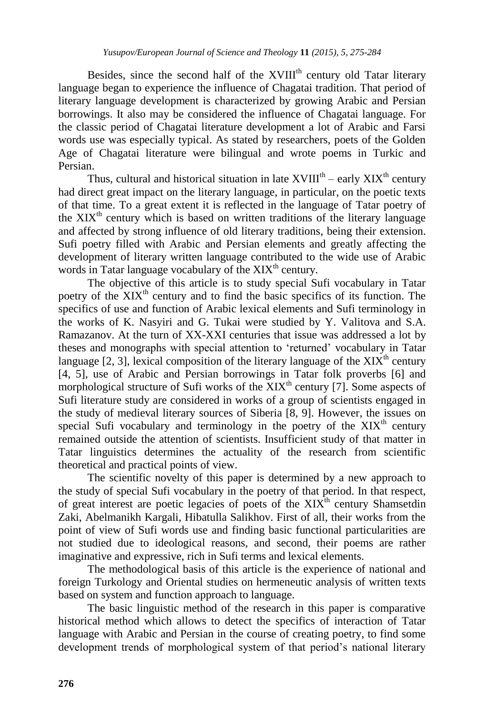Besides, since the second half of the XVIII<sup>th</sup> century old Tatar literary language began to experience the influence of Chagatai tradition. That period of literary language development is characterized by growing Arabic and Persian borrowings. It also may be considered the influence of Chagatai language. For the classic period of Chagatai literature development a lot of Arabic and Farsi words use was especially typical. As stated by researchers, poets of the Golden Age of Chagatai literature were bilingual and wrote poems in Turkic and Persian.

Thus, cultural and historical situation in late  $XVIII^{th}$  – early  $XIX^{th}$  century had direct great impact on the literary language, in particular, on the poetic texts of that time. To a great extent it is reflected in the language of Tatar poetry of the  $XIX<sup>th</sup>$  century which is based on written traditions of the literary language and affected by strong influence of old literary traditions, being their extension. Sufi poetry filled with Arabic and Persian elements and greatly affecting the development of literary written language contributed to the wide use of Arabic words in Tatar language vocabulary of the  $XIX<sup>th</sup>$  century.

The objective of this article is to study special Sufi vocabulary in Tatar poetry of the XIX<sup>th</sup> century and to find the basic specifics of its function. The specifics of use and function of Arabic lexical elements and Sufi terminology in the works of K. Nasyiri and G. Tukai were studied by Y. Valitova and S.A. Ramazanov. At the turn of ХХ-XXI centuries that issue was addressed a lot by theses and monographs with special attention to 'returned' vocabulary in Tatar language  $[2, 3]$ , lexical composition of the literary language of the  $XIX<sup>th</sup>$  century [4, 5], use of Arabic and Persian borrowings in Tatar folk proverbs [6] and morphological structure of Sufi works of the  $XIX<sup>th</sup>$  century [7]. Some aspects of Sufi literature study are considered in works of a group of scientists engaged in the study of medieval literary sources of Siberia [8, 9]. However, the issues on special Sufi vocabulary and terminology in the poetry of the  $XIX<sup>th</sup>$  century remained outside the attention of scientists. Insufficient study of that matter in Tatar linguistics determines the actuality of the research from scientific theoretical and practical points of view.

The scientific novelty of this paper is determined by a new approach to the study of special Sufi vocabulary in the poetry of that period. In that respect, of great interest are poetic legacies of poets of the  $XIX<sup>th</sup>$  century Shamsetdin Zaki, Abelmanikh Kargali, Hibatulla Salikhov. First of all, their works from the point of view of Sufi words use and finding basic functional particularities are not studied due to ideological reasons, and second, their poems are rather imaginative and expressive, rich in Sufi terms and lexical elements.

The methodological basis of this article is the experience of national and foreign Turkology and Oriental studies on hermeneutic analysis of written texts based on system and function approach to language.

The basic linguistic method of the research in this paper is comparative historical method which allows to detect the specifics of interaction of Tatar language with Arabic and Persian in the course of creating poetry, to find some development trends of morphological system of that period's national literary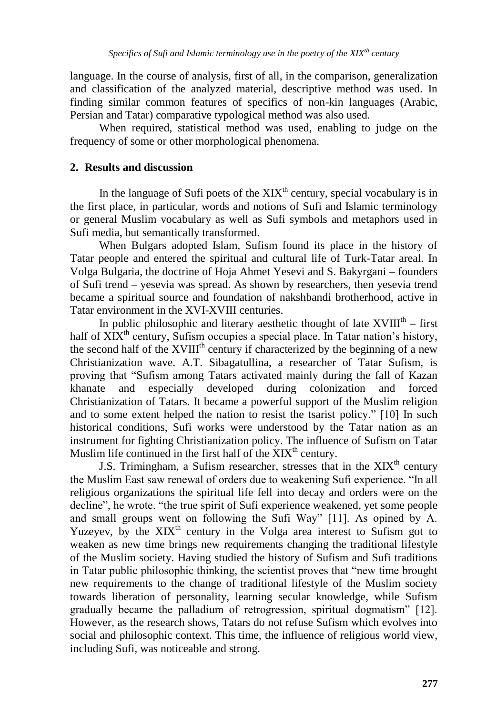language. In the course of analysis, first of all, in the comparison, generalization and classification of the analyzed material, descriptive method was used. In finding similar common features of specifics of non-kin languages (Arabic, Persian and Tatar) comparative typological method was also used.

When required, statistical method was used, enabling to judge on the frequency of some or other morphological phenomena.

## **2. Results and discussion**

In the language of Sufi poets of the  $XIX<sup>th</sup>$  century, special vocabulary is in the first place, in particular, words and notions of Sufi and Islamic terminology or general Muslim vocabulary as well as Sufi symbols and metaphors used in Sufi media, but semantically transformed.

When Bulgars adopted Islam, Sufism found its place in the history of Tatar people and entered the spiritual and cultural life of Turk-Tatar areal. In Volga Bulgaria, the doctrine of Hoja Ahmet Yesevi and S. Bakyrgani – founders of Sufi trend – yesevia was spread. As shown by researchers, then yesevia trend became a spiritual source and foundation of nakshbandi brotherhood, active in Tatar environment in the XVI-XVIII centuries.

In public philosophic and literary aesthetic thought of late  $XVIII<sup>th</sup> - first$ half of  $XIX<sup>th</sup>$  century, Sufism occupies a special place. In Tatar nation's history, the second half of the  $XVIII<sup>th</sup>$  century if characterized by the beginning of a new Christianization wave. A.T. Sibagatullina, a researcher of Tatar Sufism, is proving that "Sufism among Tatars activated mainly during the fall of Kazan khanate and especially developed during colonization and forced Christianization of Tatars. It became a powerful support of the Muslim religion and to some extent helped the nation to resist the tsarist policy." [10] In such historical conditions, Sufi works were understood by the Tatar nation as an instrument for fighting Christianization policy. The influence of Sufism on Tatar Muslim life continued in the first half of the  $XIX<sup>th</sup>$  century.

J.S. Trimingham, a Sufism researcher, stresses that in the  $XIX<sup>th</sup>$  century the Muslim East saw renewal of orders due to weakening Sufi experience. "In all religious organizations the spiritual life fell into decay and orders were on the decline", he wrote. "the true spirit of Sufi experience weakened, yet some people and small groups went on following the Sufi Way" [11]. As opined by A. Yuzeyev, by the XIX<sup>th</sup> century in the Volga area interest to Sufism got to weaken as new time brings new requirements changing the traditional lifestyle of the Muslim society. Having studied the history of Sufism and Sufi traditions in Tatar public philosophic thinking, the scientist proves that "new time brought" new requirements to the change of traditional lifestyle of the Muslim society towards liberation of personality, learning secular knowledge, while Sufism gradually became the palladium of retrogression, spiritual dogmatism" [12]. However, as the research shows, Tatars do not refuse Sufism which evolves into social and philosophic context. This time, the influence of religious world view, including Sufi, was noticeable and strong.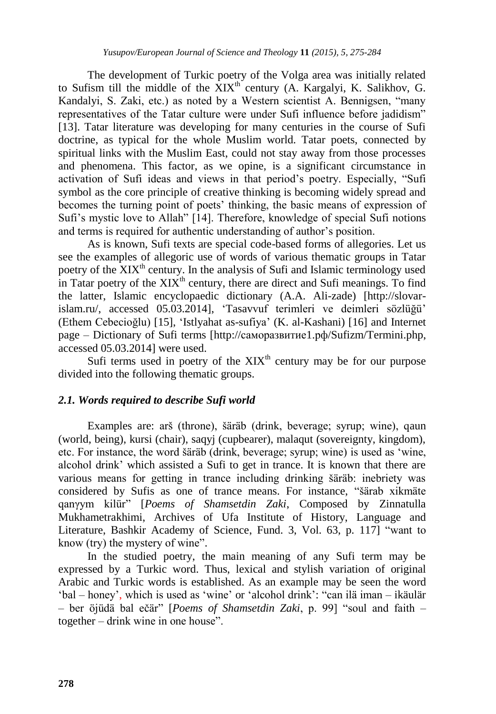The development of Turkic poetry of the Volga area was initially related to Sufism till the middle of the  $XIX<sup>th</sup>$  century (A. Kargalyi, K. Salikhov, G. Kandalyi, S. Zaki, etc.) as noted by a Western scientist A. Bennigsen, "many representatives of the Tatar culture were under Sufi influence before jadidism" [13]. Tatar literature was developing for many centuries in the course of Sufi doctrine, as typical for the whole Muslim world. Tatar poets, connected by spiritual links with the Muslim East, could not stay away from those processes and phenomena. This factor, as we opine, is a significant circumstance in activation of Sufi ideas and views in that period's poetry. Especially, "Sufi symbol as the core principle of creative thinking is becoming widely spread and becomes the turning point of poets' thinking, the basic means of expression of Sufi's mystic love to Allah" [14]. Therefore, knowledge of special Sufi notions and terms is required for authentic understanding of author's position.

As is known, Sufi texts are special code-based forms of allegories. Let us see the examples of allegoric use of words of various thematic groups in Tatar poetry of the  $\rm XIX^{th}$  century. In the analysis of Sufi and Islamic terminology used in Tatar poetry of the  $XIX<sup>th</sup>$  century, there are direct and Sufi meanings. To find the latter, Islamic encyclopaedic dictionary (A.A. Ali-zade) [http://slovarislam.ru/, accessed 05.03.2014], ‗Tasavvuf terimleri ve deimleri sözlüğü' (Ethem Cebecioğlu) [15], 'Istlyahat as-sufiya' (K. al-Kashani) [16] and Internet page – Dictionary of Sufi terms [\[http://саморазвитие1.рф/Sufizm/Termini.php,](http://????????????1.??/Sufizm/Termini.php) accessed 05.03.2014] were used.

Sufi terms used in poetry of the  $XIX<sup>th</sup>$  century may be for our purpose divided into the following thematic groups.

### *2.1. Words required to describe Sufi world*

Examples are: arš (throne), šäräb (drink, beverage; syrup; wine), qaun (world, being), kursi (chair), saqyj (cupbearer), malaqut (sovereignty, kingdom), etc. For instance, the word šäräb (drink, beverage; syrup; wine) is used as 'wine, alcohol drink' which assisted a Sufi to get in trance. It is known that there are various means for getting in trance including drinking šäräb: inebriety was considered by Sufis as one of trance means. For instance, "šärab xikmäte qanγym kilür‖ [*Poems of Shamsetdin Zaki*, Composed by Zinnatulla Mukhametrakhimi, Archives of Ufa Institute of History, Language and Literature, Bashkir Academy of Science, Fund. 3, Vol. 63, p. 117] "want to know (try) the mystery of wine".

In the studied poetry, the main meaning of any Sufi term may be expressed by a Turkic word. Thus, lexical and stylish variation of original Arabic and Turkic words is established. As an example may be seen the word ‗bal – honey', which is used as ‗wine' or ‗alcohol drink': ―сan ilä iman – ikäulär – ber öjüdä bal ečär" [*Poems of Shamsetdin Zaki*, p. 99] "soul and faith – together – drink wine in one house".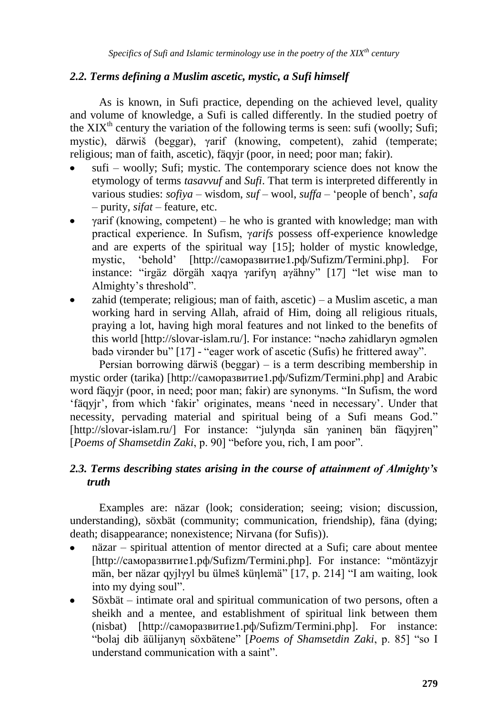### *2.2. Terms defining a Muslim ascetic, mystic, a Sufi himself*

As is known, in Sufi practice, depending on the achieved level, quality and volume of knowledge, a Sufi is called differently. In the studied poetry of the  $XIX<sup>th</sup>$  century the variation of the following terms is seen: sufi (woolly; Sufi; mystic), därwiš (beggar), γarif (knowing, competent), zahid (temperate; religious; man of faith, ascetic), fäqyjr (poor, in need; poor man; fakir).

- sufi woolly; Sufi; mystic. The contemporary science does not know the etymology of terms *tasavvuf* and *Sufi*. That term is interpreted differently in various studies: *sofiya* – wisdom, *suf* – wool, *suffa* – ‗people of bench', *safa* – purity, *sifat* – feature, etc.
- $\gamma$ arif (knowing, competent) he who is granted with knowledge; man with practical experience. In Sufism, γ*arifs* possess off-experience knowledge and are experts of the spiritual way [15]; holder of mystic knowledge, mystic, 'behold' [http://саморазвитие1.pф/Sufizm/Termini.php]. instance: "irgäz dörgäh xaqγa γarifyn aγähny" [17] "let wise man to Almighty's threshold".
- zahid (temperate; religious; man of faith, ascetic) a Muslim ascetic, a man working hard in serving Allah, afraid of Him, doing all religious rituals, praying a lot, having high moral features and not linked to the benefits of this world [http://slovar-islam.ru/]. For instance: "nәchә zahidlaryn әgmәlen badә virәnder bu" [17] - "eager work of ascetic (Sufis) he frittered away".

Persian borrowing därwiš (beggar) – is a term describing membership in mystic order (tarika) [\[http://саморазвитие1.рф/Sufizm/Termini.php\]](http://????????????1.??/Sufizm/Termini.php) and Arabic word fäqyjr (poor, in need; poor man; fakir) are synonyms. "In Sufism, the word ‗fäqyjr', from which ‗fakir' originates, means ‗need in necessary'. Under that necessity, pervading material and spiritual being of a Sufi means God." [http://slovar-islam.ru/] For instance: "julynda sän yaninen bän fäqyjren" [Poems of Shamsetdin Zaki, p. 90] "before you, rich, I am poor".

## *2.3. Terms describing states arising in the course of attainment of Almighty's truth*

Examples are: näzar (look; consideration; seeing; vision; discussion, understanding), söxbät (community; communication, friendship), fäna (dying; death; disappearance; nonexistence; Nirvana (for Sufis)).

- näzar spiritual attention of mentor directed at a Sufi; care about mentee [http://саморазвитие1.pф/Sufizm/Termini.php]. For instance: "möntäzyjr män, ber näzar qyjlyyl bu ülmeš künlemä<sup>"</sup> [17, p. 214] "I am waiting, look into my dying soul".
- Söxbät intimate oral and spiritual communication of two persons, often a sheikh and a mentee, and establishment of spiritual link between them (nisbat) [\[http://саморазвитие1.рф/Sufizm/Termini.php\]](http://????????????1.??/Sufizm/Termini.php). For instance: "bolaj dib äülijanyn söxbätene" [*Poems of Shamsetdin Zaki*, p. 85] "so I understand communication with a saint".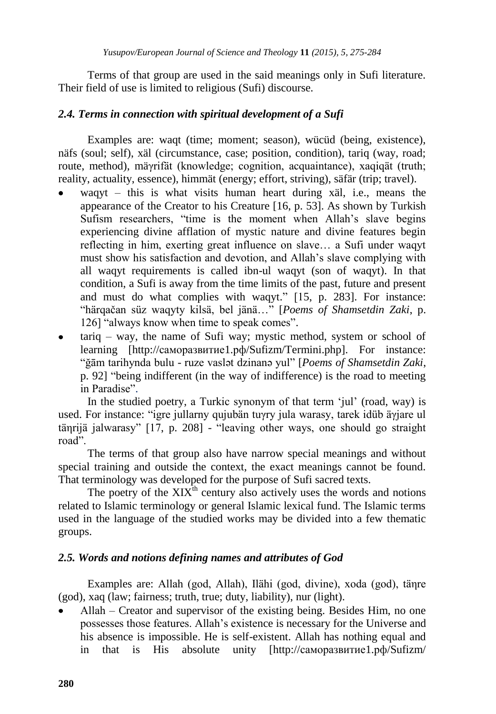Terms of that group are used in the said meanings only in Sufi literature. Their field of use is limited to religious (Sufi) discourse.

### *2.4. Terms in connection with spiritual development of a Sufi*

Examples are: waqt (time; moment; season), wücüd (being, existence), näfs (soul; self), xäl (circumstance, case; position, condition), tariq (way, road; route, method), mäγrifät (knowledge; cognition, acquaintance), xaqiqät (truth; reality, actuality, essence), himmät (energy; effort, striving), säfär (trip; travel).

- waqyt this is what visits human heart during xäl, i.e., means the appearance of the Creator to his Creature [16, p. 53]. As shown by Turkish Sufism researchers, "time is the moment when Allah's slave begins experiencing divine afflation of mystic nature and divine features begin reflecting in him, exerting great influence on slave… a Sufi under waqyt must show his satisfaction and devotion, and Allah's slave complying with all waqyt requirements is called ibn-ul waqyt (son of waqyt). In that condition, a Sufi is away from the time limits of the past, future and present and must do what complies with waqyt." [15, p. 283]. For instance: ―härqačan süz waqyty kilsä, bel jänä…‖ [*Poems of Shamsetdin Zaki*, p. 126] "always know when time to speak comes".
- tariq way, the name of Sufi way; mystic method, system or school of learning [\[http://саморазвитие1.рф/Sufizm/Termini.php\]](http://????????????1.??/Sufizm/Termini.php). For instance: ―ğām tarihynda bulu - ruze vaslәt dzinanә yul‖ [*Poems of Shamsetdin Zaki*, p. 92] "being indifferent (in the way of indifference) is the road to meeting in Paradise".

In the studied poetry, a Turkic synonym of that term 'jul' (road, way) is used. For instance: "igre jullarny qujubän tuγry jula warasy, tarek idüb äγjare ul tänrijä jalwarasy" [17, p. 208] - "leaving other ways, one should go straight road".

The terms of that group also have narrow special meanings and without special training and outside the context, the exact meanings cannot be found. That terminology was developed for the purpose of Sufi sacred texts.

The poetry of the  $XIX<sup>th</sup>$  century also actively uses the words and notions related to Islamic terminology or general Islamic lexical fund. The Islamic terms used in the language of the studied works may be divided into a few thematic groups.

#### *2.5. Words and notions defining names and attributes of God*

Examples are: Аllah (god, Allah), Ilähi (god, divine), хoda (god), täηre (god), xaq (law; fairness; truth, true; duty, liability), nur (light).

Аllah – Creator and supervisor of the existing being. Besides Him, no one possesses those features. Allah's existence is necessary for the Universe and his absence is impossible. He is self-existent. Allah has nothing equal and in that is His absolute unity [http://саморазвитие1.рф/Sufizm/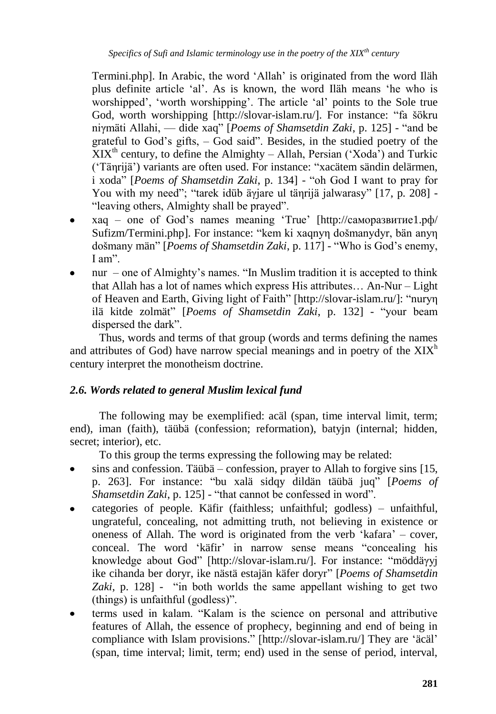Termini.php]. In Arabic, the word ‗Allah' is originated from the word Iläh plus definite article 'al'. As is known, the word Iläh means 'he who is worshipped', 'worth worshipping'. The article 'al' points to the Sole true God, worth worshipping [http://slovar-islam.ru/]. For instance: "fa šökru niymäti Allahi, — dide xaq" [*Poems of Shamsetdin Zaki*, p. 125] - "and be grateful to God's gifts,  $-$  God said". Besides, in the studied poetry of the  $XIX<sup>th</sup>$  century, to define the Almighty – Allah, Persian ('Xoda') and Turkic ('Tänrijä') variants are often used. For instance: "xacätem sändin delärmen, i xoda" [*Poems of Shamsetdin Zaki*, p. 134] - "oh God I want to pray for You with my need"; "tarek idüb äγjare ul täηrijä jalwarasy" [17, p. 208] -"leaving others, Almighty shall be prayed".

- хaq one of God's names meaning ‗True' [http://саморазвитие1.рф/ Sufizm/Termini.php]. For instance: "kem ki xaqnyn došmanydyr, bän anyn došmany män" [*Poems of Shamsetdin Zaki*, p. 117] - "Who is God's enemy,  $I$  am".
- nur one of Almighty's names. "In Muslim tradition it is accepted to think that Allah has a lot of names which express His attributes… An-Nur – Light of Heaven and Earth, Giving light of Faith" [http://slovar-islam.ru/]: "nuryn ilä kitde zolmät" [*Poems of Shamsetdin Zaki*, p. 132] - "your beam dispersed the dark".

Thus, words and terms of that group (words and terms defining the names and attributes of God) have narrow special meanings and in poetry of the  $XIX<sup>h</sup>$ century interpret the monotheism doctrine.

# *2.6. Words related to general Muslim lexical fund*

The following may be exemplified: acäl (span, time interval limit, term; end), iman (faith), täübä (confession; reformation), batyjn (internal; hidden, secret; interior), etc.

To this group the terms expressing the following may be related:

- sins and confession. Täübä confession, prayer to Allah to forgive sins [15, p. 263]. For instance: "bu xalä sidqy dildän täübä juq" [*Poems of Shamsetdin Zaki*, p. 125] - "that cannot be confessed in word".
- categories of people. Käfir (faithless; unfaithful; godless) unfaithful,  $\bullet$ ungrateful, concealing, not admitting truth, not believing in existence or oneness of Allah. The word is originated from the verb 'kafara' – cover, conceal. The word 'käfir' in narrow sense means "concealing his knowledge about God" [http://slovar-islam.ru/]. For instance: "möddäγyj ike cihanda ber doryr, ike nästä estajän käfer doryr‖ [*Poems of Shamsetdin*  Zaki, p. 128] - "in both worlds the same appellant wishing to get two  $(this)$  is unfaithful  $(godless)$ .
- terms used in kalam. "Kalam is the science on personal and attributive features of Allah, the essence of prophecy, beginning and end of being in compliance with Islam provisions." [http://slovar-islam.ru/] They are 'äcäl' (span, time interval; limit, term; end) used in the sense of period, interval,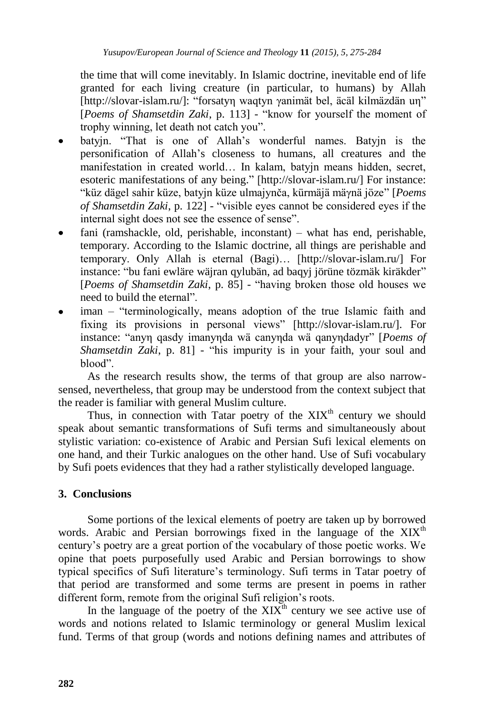the time that will come inevitably. In Islamic doctrine, inevitable end of life granted for each living creature (in particular, to humans) by Allah [http://slovar-islam.ru/]: "forsatyn waqtyn yanimät bel, äcäl kilmäzdän un" [*Poems of Shamsetdin Zaki*, p. 113] - "know for yourself the moment of trophy winning, let death not catch you".

- batyjn. "That is one of Allah's wonderful names. Batyjn is the personification of Allah's closeness to humans, all creatures and the manifestation in created world… In kalam, batyjn means hidden, secret, esoteric manifestations of any being." [http://slovar-islam.ru/] For instance: ―küz dägel sahir küze, batyjn küze ulmajynča, kürmäjä mäγnä jöze‖ [*Poems of Shamsetdin Zaki*, p. 122] - "visible eyes cannot be considered eyes if the internal sight does not see the essence of sense".
- fani (ramshackle, old, perishable, inconstant) what has end, perishable, temporary. According to the Islamic doctrine, all things are perishable and temporary. Only Allah is eternal (Bagi)… [http://slovar-islam.ru/] For instance: "bu fani ewläre wäjran qylubän, ad baqyj jörüne tözmäk kiräkder" [*Poems of Shamsetdin Zaki*, p. 85] - "having broken those old houses we need to build the eternal".
- iman "terminologically, means adoption of the true Islamic faith and fixing its provisions in personal views" [http://slovar-islam.ru/]. For instance: "anyn qasdy imanynda wä canynda wä qanyndadyr" [Poems of *Shamsetdin Zaki*, p. 81] - "his impurity is in your faith, your soul and blood".

As the research results show, the terms of that group are also narrowsensed, nevertheless, that group may be understood from the context subject that the reader is familiar with general Muslim culture.

Thus, in connection with Tatar poetry of the  $XIX<sup>th</sup>$  century we should speak about semantic transformations of Sufi terms and simultaneously about stylistic variation: co-existence of Arabic and Persian Sufi lexical elements on one hand, and their Turkic analogues on the other hand. Use of Sufi vocabulary by Sufi poets evidences that they had a rather stylistically developed language.

# **3. Conclusions**

Some portions of the lexical elements of poetry are taken up by borrowed words. Arabic and Persian borrowings fixed in the language of the  $XIX<sup>th</sup>$ century's poetry are a great portion of the vocabulary of those poetic works. We opine that poets purposefully used Arabic and Persian borrowings to show typical specifics of Sufi literature's terminology. Sufi terms in Tatar poetry of that period are transformed and some terms are present in poems in rather different form, remote from the original Sufi religion's roots.

In the language of the poetry of the  $XIX<sup>th</sup>$  century we see active use of words and notions related to Islamic terminology or general Muslim lexical fund. Terms of that group (words and notions defining names and attributes of